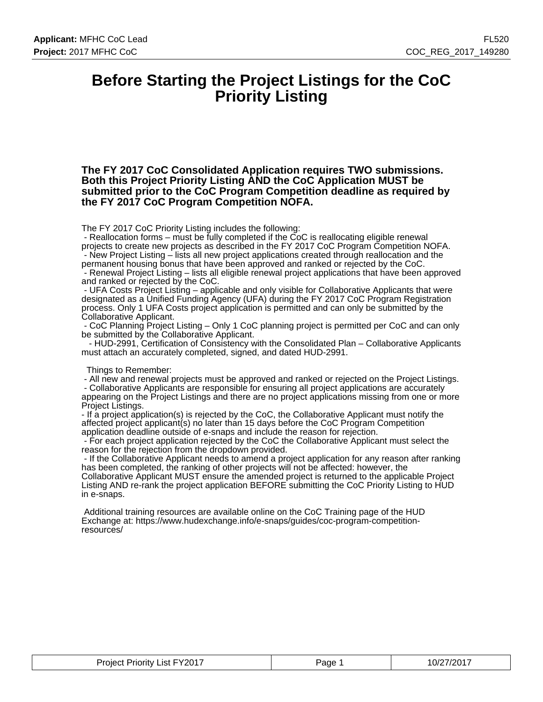### **Before Starting the Project Listings for the CoC Priority Listing**

**The FY 2017 CoC Consolidated Application requires TWO submissions. Both this Project Priority Listing AND the CoC Application MUST be submitted prior to the CoC Program Competition deadline as required by the FY 2017 CoC Program Competition NOFA.**

The FY 2017 CoC Priority Listing includes the following:

 - Reallocation forms – must be fully completed if the CoC is reallocating eligible renewal projects to create new projects as described in the FY 2017 CoC Program Competition NOFA. - New Project Listing – lists all new project applications created through reallocation and the

permanent housing bonus that have been approved and ranked or rejected by the CoC. - Renewal Project Listing – lists all eligible renewal project applications that have been approved and ranked or rejected by the CoC.

 - UFA Costs Project Listing – applicable and only visible for Collaborative Applicants that were designated as a Unified Funding Agency (UFA) during the FY 2017 CoC Program Registration process. Only 1 UFA Costs project application is permitted and can only be submitted by the Collaborative Applicant.

 - CoC Planning Project Listing – Only 1 CoC planning project is permitted per CoC and can only be submitted by the Collaborative Applicant.

 - HUD-2991, Certification of Consistency with the Consolidated Plan – Collaborative Applicants must attach an accurately completed, signed, and dated HUD-2991.

Things to Remember:

 - All new and renewal projects must be approved and ranked or rejected on the Project Listings. - Collaborative Applicants are responsible for ensuring all project applications are accurately appearing on the Project Listings and there are no project applications missing from one or more

Project Listings.

- If a project application(s) is rejected by the CoC, the Collaborative Applicant must notify the affected project applicant(s) no later than 15 days before the CoC Program Competition application deadline outside of e-snaps and include the reason for rejection.

 - For each project application rejected by the CoC the Collaborative Applicant must select the reason for the rejection from the dropdown provided.

 - If the Collaborative Applicant needs to amend a project application for any reason after ranking has been completed, the ranking of other projects will not be affected: however, the Collaborative Applicant MUST ensure the amended project is returned to the applicable Project Listing AND re-rank the project application BEFORE submitting the CoC Priority Listing to HUD in e-snaps.

 Additional training resources are available online on the CoC Training page of the HUD Exchange at: https://www.hudexchange.info/e-snaps/guides/coc-program-competitionresources/

| $List$ FY2017<br>Project<br>Priority .<br>$\sim$ $\sim$ | aae | $\angle$ 7/201 $^{-}$<br>10/2 |
|---------------------------------------------------------|-----|-------------------------------|
|---------------------------------------------------------|-----|-------------------------------|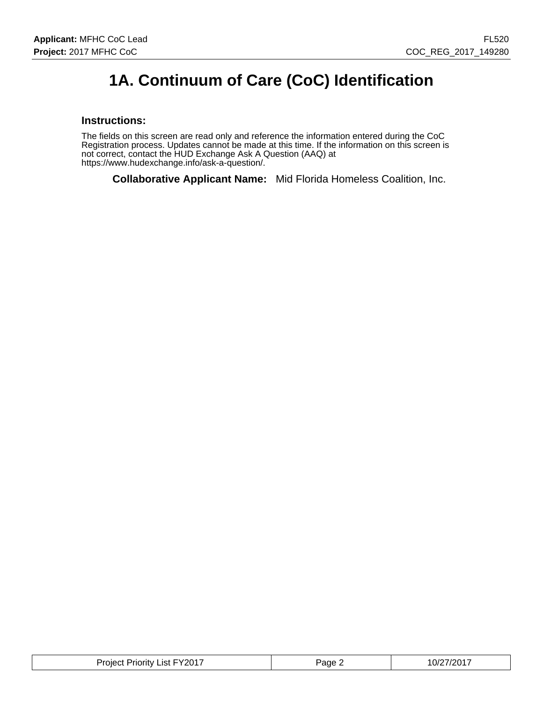# **1A. Continuum of Care (CoC) Identification**

#### **Instructions:**

The fields on this screen are read only and reference the information entered during the CoC Registration process. Updates cannot be made at this time. If the information on this screen is not correct, contact the HUD Exchange Ask A Question (AAQ) at https://www.hudexchange.info/ask-a-question/.

**Collaborative Applicant Name:** Mid Florida Homeless Coalition, Inc.

| Project Priority List FY2017 | <sup>⊃</sup> aqe ∠ | 10/27/2017 |
|------------------------------|--------------------|------------|
|------------------------------|--------------------|------------|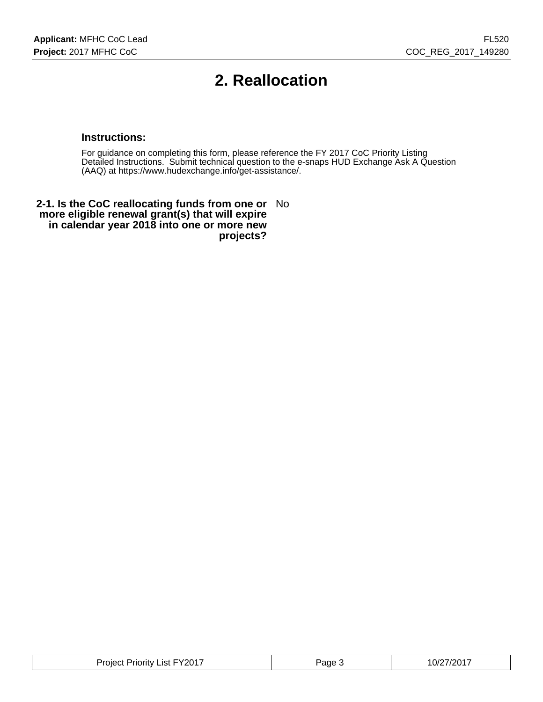# **2. Reallocation**

#### **Instructions:**

For guidance on completing this form, please reference the FY 2017 CoC Priority Listing Detailed Instructions. Submit technical question to the e-snaps HUD Exchange Ask A Question (AAQ) at https://www.hudexchange.info/get-assistance/.

**2-1. Is the CoC reallocating funds from one or** No **more eligible renewal grant(s) that will expire in calendar year 2018 into one or more new projects?**

| List $FY2017$<br>Project<br>Priority | Page | 1/20017<br>10/2 |
|--------------------------------------|------|-----------------|
|--------------------------------------|------|-----------------|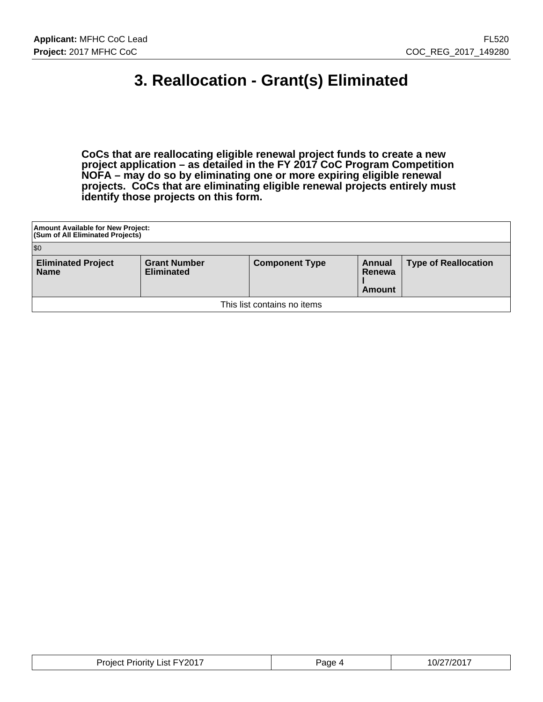# **3. Reallocation - Grant(s) Eliminated**

**CoCs that are reallocating eligible renewal project funds to create a new project application – as detailed in the FY 2017 CoC Program Competition NOFA – may do so by eliminating one or more expiring eligible renewal projects. CoCs that are eliminating eligible renewal projects entirely must identify those projects on this form.**

| Amount Available for New Project:<br>(Sum of All Eliminated Projects) |                                          |                       |                            |                             |  |  |
|-----------------------------------------------------------------------|------------------------------------------|-----------------------|----------------------------|-----------------------------|--|--|
| \$0                                                                   |                                          |                       |                            |                             |  |  |
| <b>Eliminated Project</b><br><b>Name</b>                              | <b>Grant Number</b><br><b>Eliminated</b> | <b>Component Type</b> | Annual<br>Renewa<br>Amount | <b>Type of Reallocation</b> |  |  |
| This list contains no items                                           |                                          |                       |                            |                             |  |  |

| <b>Project Priority List FY2017</b> | Page 4 | 10/27/2017<br>______ |
|-------------------------------------|--------|----------------------|
|-------------------------------------|--------|----------------------|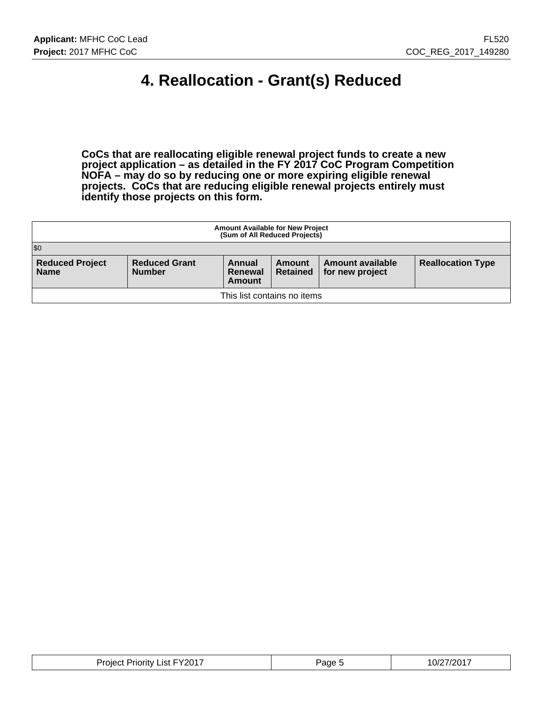# **4. Reallocation - Grant(s) Reduced**

**CoCs that are reallocating eligible renewal project funds to create a new project application – as detailed in the FY 2017 CoC Program Competition NOFA – may do so by reducing one or more expiring eligible renewal projects. CoCs that are reducing eligible renewal projects entirely must identify those projects on this form.**

| <b>Amount Available for New Project</b><br>(Sum of All Reduced Projects)                                                                                                                                      |  |  |  |  |  |  |
|---------------------------------------------------------------------------------------------------------------------------------------------------------------------------------------------------------------|--|--|--|--|--|--|
| \$0                                                                                                                                                                                                           |  |  |  |  |  |  |
| <b>Reduced Project</b><br><b>Reduced Grant</b><br><b>Reallocation Type</b><br>Amount available<br>Annual<br>Amount<br><b>Name</b><br><b>Number</b><br><b>Retained</b><br>for new project<br>Renewal<br>Amount |  |  |  |  |  |  |
| This list contains no items                                                                                                                                                                                   |  |  |  |  |  |  |

| . FY201 <sup>-</sup><br>Priority<br>_ıst<br>വല്<br>the contract of the contract of the contract of the contract of the contract of the contract of the contract of | ane, | י∩∩י<br>\ <i>II</i> |
|--------------------------------------------------------------------------------------------------------------------------------------------------------------------|------|---------------------|
|--------------------------------------------------------------------------------------------------------------------------------------------------------------------|------|---------------------|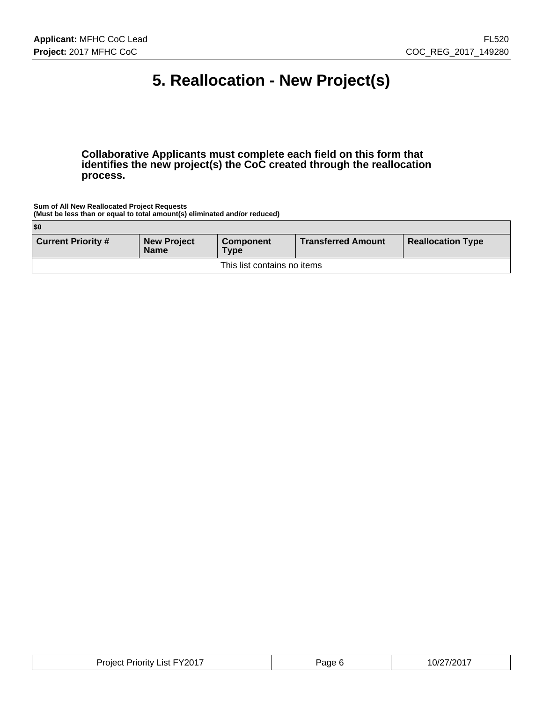# **5. Reallocation - New Project(s)**

**Collaborative Applicants must complete each field on this form that identifies the new project(s) the CoC created through the reallocation process.**

**Sum of All New Reallocated Project Requests (Must be less than or equal to total amount(s) eliminated and/or reduced)**

| \$0                       |                                   |                                 |                           |                          |
|---------------------------|-----------------------------------|---------------------------------|---------------------------|--------------------------|
| <b>Current Priority #</b> | <b>New Project</b><br><b>Name</b> | <b>Component</b><br><b>Type</b> | <b>Transferred Amount</b> | <b>Reallocation Type</b> |
|                           |                                   | This list contains no items     |                           |                          |

| <b>Project Priority List FY2017</b><br>Page P<br>_____ | 10/27/2017 |
|--------------------------------------------------------|------------|
|--------------------------------------------------------|------------|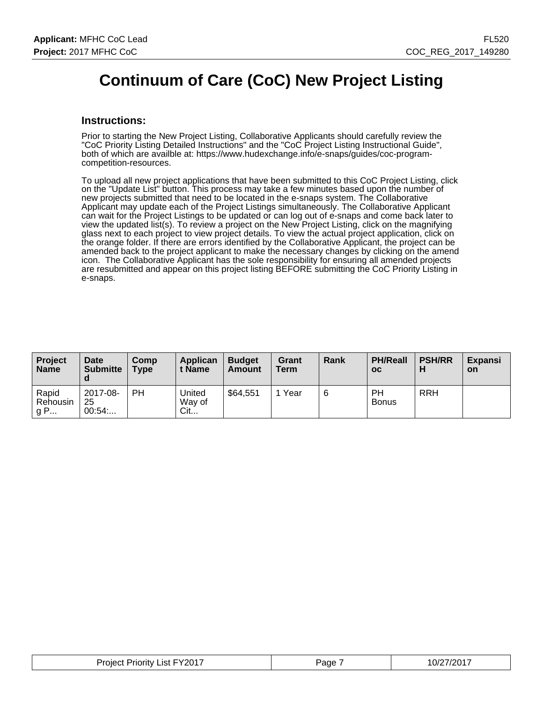### **Continuum of Care (CoC) New Project Listing**

#### **Instructions:**

Prior to starting the New Project Listing, Collaborative Applicants should carefully review the "CoC Priority Listing Detailed Instructions" and the "CoC Project Listing Instructional Guide", both of which are availble at: https://www.hudexchange.info/e-snaps/guides/coc-programcompetition-resources.

To upload all new project applications that have been submitted to this CoC Project Listing, click on the "Update List" button. This process may take a few minutes based upon the number of new projects submitted that need to be located in the e-snaps system. The Collaborative Applicant may update each of the Project Listings simultaneously. The Collaborative Applicant can wait for the Project Listings to be updated or can log out of e-snaps and come back later to view the updated list(s). To review a project on the New Project Listing, click on the magnifying glass next to each project to view project details. To view the actual project application, click on the orange folder. If there are errors identified by the Collaborative Applicant, the project can be amended back to the project applicant to make the necessary changes by clicking on the amend icon. The Collaborative Applicant has the sole responsibility for ensuring all amended projects are resubmitted and appear on this project listing BEFORE submitting the CoC Priority Listing in e-snaps.

| <b>Project</b><br><b>Name</b>        | Date<br><b>Submitte</b><br>d | Comp<br><b>Type</b> | Applican<br>t Name      | <b>Budget</b><br>Amount | Grant<br><b>Term</b> | Rank | <b>PH/Reall</b><br><b>OC</b> | <b>PSH/RR</b> | <b>Expansi</b><br><b>on</b> |
|--------------------------------------|------------------------------|---------------------|-------------------------|-------------------------|----------------------|------|------------------------------|---------------|-----------------------------|
| Rapid<br>Rehousin<br>$^{\prime}$ g P | 2017-08-<br>25<br>00:54      | PH                  | United<br>Way of<br>Cit | \$64,551                | Year                 | 6    | PH<br><b>Bonus</b>           | <b>RRH</b>    |                             |

| <b>Project Priority List FY2017</b> | Page | 10/27/2017 |
|-------------------------------------|------|------------|
|-------------------------------------|------|------------|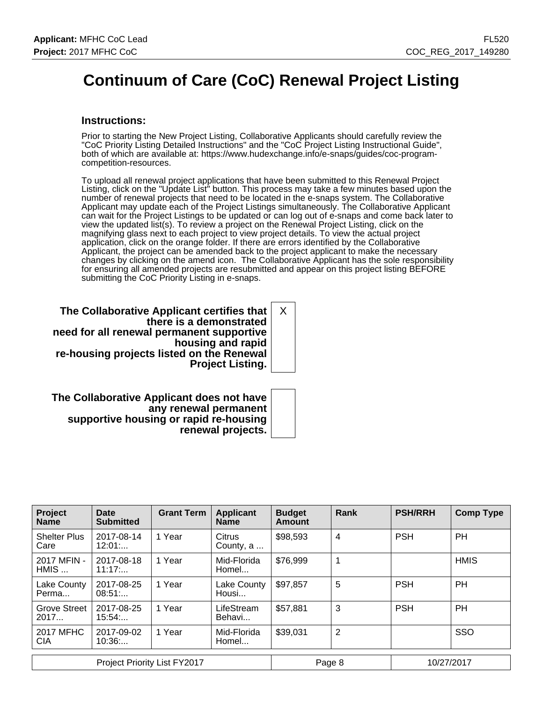# **Continuum of Care (CoC) Renewal Project Listing**

#### **Instructions:**

Prior to starting the New Project Listing, Collaborative Applicants should carefully review the "CoC Priority Listing Detailed Instructions" and the "CoC Project Listing Instructional Guide", both of which are available at: https://www.hudexchange.info/e-snaps/guides/coc-programcompetition-resources.

To upload all renewal project applications that have been submitted to this Renewal Project Listing, click on the "Update List" button. This process may take a few minutes based upon the number of renewal projects that need to be located in the e-snaps system. The Collaborative Applicant may update each of the Project Listings simultaneously. The Collaborative Applicant can wait for the Project Listings to be updated or can log out of e-snaps and come back later to view the updated list(s). To review a project on the Renewal Project Listing, click on the magnifying glass next to each project to view project details. To view the actual project application, click on the orange folder. If there are errors identified by the Collaborative Applicant, the project can be amended back to the project applicant to make the necessary changes by clicking on the amend icon. The Collaborative Applicant has the sole responsibility for ensuring all amended projects are resubmitted and appear on this project listing BEFORE submitting the CoC Priority Listing in e-snaps.

**The Collaborative Applicant certifies that there is a demonstrated need for all renewal permanent supportive housing and rapid re-housing projects listed on the Renewal Project Listing.** X

**The Collaborative Applicant does not have any renewal permanent supportive housing or rapid re-housing renewal projects.**

| Project<br><b>Name</b>         | Date<br><b>Submitted</b> | <b>Grant Term</b> | <b>Applicant</b><br><b>Name</b> | <b>Budget</b><br><b>Amount</b> | Rank | <b>PSH/RRH</b> | <b>Comp Type</b> |
|--------------------------------|--------------------------|-------------------|---------------------------------|--------------------------------|------|----------------|------------------|
| <b>Shelter Plus</b><br>Care    | 2017-08-14<br>12:01      | 1 Year            | Citrus<br>County, a             | \$98,593                       | 4    | <b>PSH</b>     | PH               |
| 2017 MFIN -<br>$HMIS$          | 2017-08-18<br>11:17:     | 1 Year            | Mid-Florida<br>Homel            | \$76,999                       | 1    |                | <b>HMIS</b>      |
| Lake County<br>Perma           | 2017-08-25<br>08:51      | 1 Year            | Lake County<br>Housi            | \$97,857                       | 5    | <b>PSH</b>     | <b>PH</b>        |
| Grove Street<br>2017           | 2017-08-25<br>15:54      | 1 Year            | LifeStream<br>Behavi            | \$57,881                       | 3    | <b>PSH</b>     | <b>PH</b>        |
| <b>2017 MFHC</b><br><b>CIA</b> | 2017-09-02<br>10:36      | 1 Year            | Mid-Florida<br>Homel            | \$39,031                       | 2    |                | SSO              |
| Project Priority List FY2017   |                          |                   |                                 | Page 8                         |      | 10/27/2017     |                  |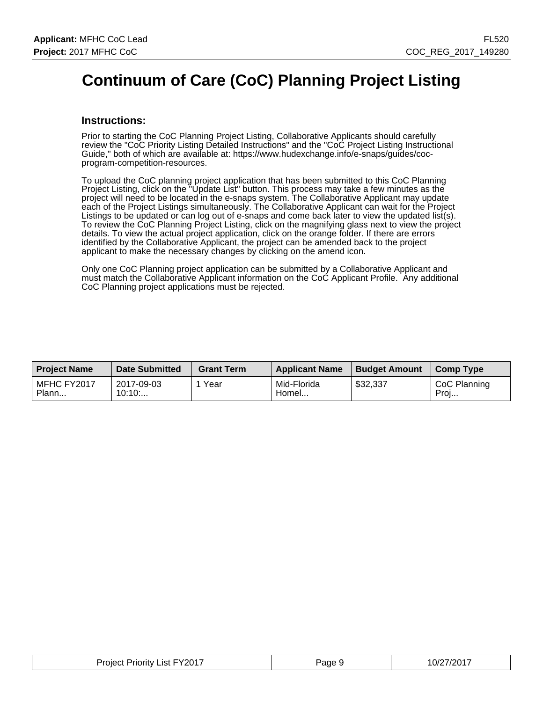# **Continuum of Care (CoC) Planning Project Listing**

#### **Instructions:**

Prior to starting the CoC Planning Project Listing, Collaborative Applicants should carefully review the "CoC Priority Listing Detailed Instructions" and the "CoC Project Listing Instructional Guide," both of which are available at: https://www.hudexchange.info/e-snaps/guides/cocprogram-competition-resources.

To upload the CoC planning project application that has been submitted to this CoC Planning Project Listing, click on the "Update List" button. This process may take a few minutes as the project will need to be located in the e-snaps system. The Collaborative Applicant may update each of the Project Listings simultaneously. The Collaborative Applicant can wait for the Project Listings to be updated or can log out of e-snaps and come back later to view the updated list(s). To review the CoC Planning Project Listing, click on the magnifying glass next to view the project details. To view the actual project application, click on the orange folder. If there are errors identified by the Collaborative Applicant, the project can be amended back to the project applicant to make the necessary changes by clicking on the amend icon.

Only one CoC Planning project application can be submitted by a Collaborative Applicant and must match the Collaborative Applicant information on the CoC Applicant Profile. Any additional CoC Planning project applications must be rejected.

| <b>Project Name</b>  | <b>Date Submitted</b> | <b>Grant Term</b> | <b>Applicant Name</b> | <b>Budget Amount</b> | <b>Comp Type</b>     |
|----------------------|-----------------------|-------------------|-----------------------|----------------------|----------------------|
| MFHC FY2017<br>Plann | 2017-09-03<br>10:10   | Year              | Mid-Florida<br>Homel  | \$32,337             | CoC Planning<br>Proj |

| <b>Project Priority List FY2017</b> | Page 9 | 10/27/2017 |
|-------------------------------------|--------|------------|
|-------------------------------------|--------|------------|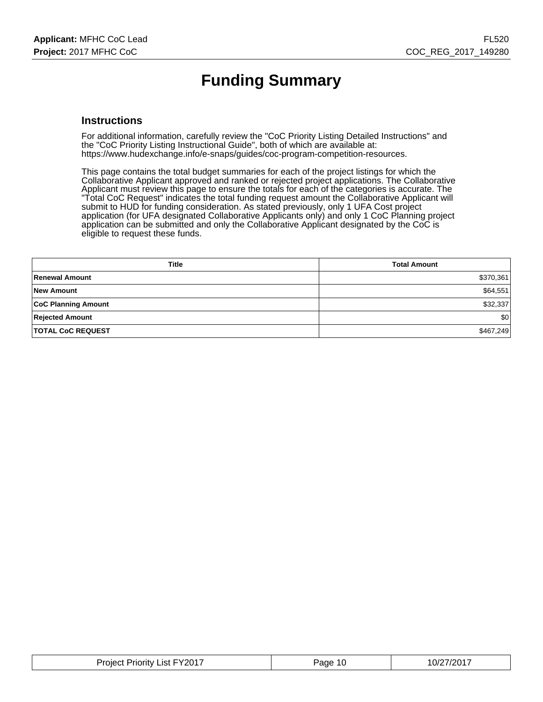# **Funding Summary**

#### **Instructions**

For additional information, carefully review the "CoC Priority Listing Detailed Instructions" and the "CoC Priority Listing Instructional Guide", both of which are available at: https://www.hudexchange.info/e-snaps/guides/coc-program-competition-resources.

This page contains the total budget summaries for each of the project listings for which the Collaborative Applicant approved and ranked or rejected project applications. The Collaborative Applicant must review this page to ensure the totals for each of the categories is accurate. The "Total CoC Request" indicates the total funding request amount the Collaborative Applicant will submit to HUD for funding consideration. As stated previously, only 1 UFA Cost project application (for UFA designated Collaborative Applicants only) and only 1 CoC Planning project application can be submitted and only the Collaborative Applicant designated by the CoC is eligible to request these funds.

| <b>Title</b>               | <b>Total Amount</b> |
|----------------------------|---------------------|
| Renewal Amount             | \$370,361           |
| New Amount                 | \$64,551            |
| <b>CoC Planning Amount</b> | \$32,337            |
| <b>Rejected Amount</b>     | \$0                 |
| <b>TOTAL CoC REQUEST</b>   | \$467,249           |

| <b>Project Priority List FY2017</b> | Page<br>-10 | 10/27/2017 |
|-------------------------------------|-------------|------------|
|-------------------------------------|-------------|------------|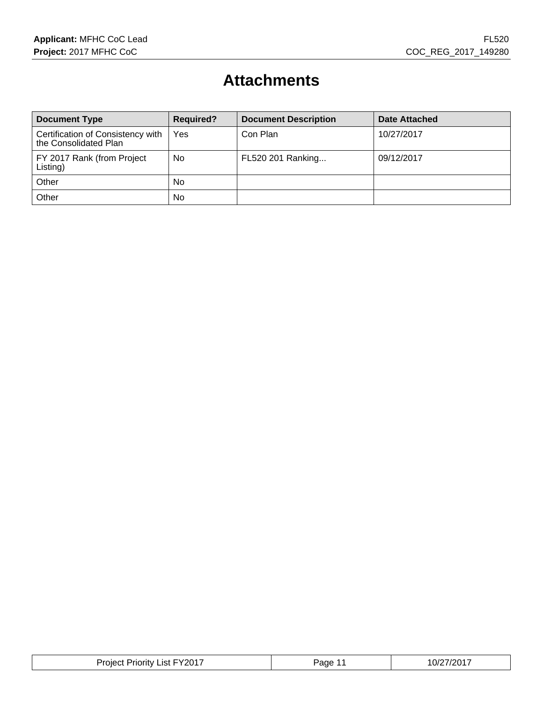# **Attachments**

| <b>Document Type</b>                                       | <b>Required?</b> | <b>Document Description</b> | <b>Date Attached</b> |
|------------------------------------------------------------|------------------|-----------------------------|----------------------|
| Certification of Consistency with<br>the Consolidated Plan | Yes              | Con Plan                    | 10/27/2017           |
| FY 2017 Rank (from Project<br>Listing)                     | No               | FL520 201 Ranking           | 09/12/2017           |
| Other                                                      | <b>No</b>        |                             |                      |
| Other                                                      | No               |                             |                      |

| דור<br>$J$ rojc<br>.ıst<br>$\mathbf{v}$<br>. IIV<br>nıer<br>' I'L<br>∼<br>. .<br>___ | ane | 1 U<br>$\sim$ $\sim$ $\sim$ $\sim$ $\sim$ $\sim$ $\sim$ |
|--------------------------------------------------------------------------------------|-----|---------------------------------------------------------|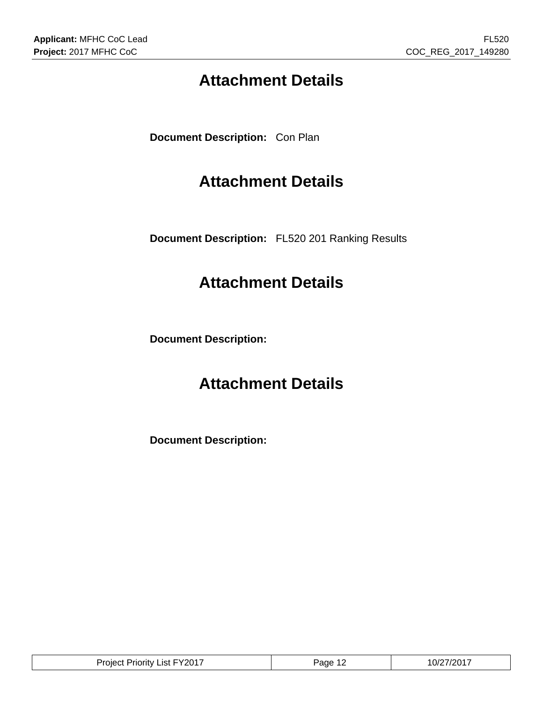# **Attachment Details**

**Document Description:** Con Plan

# **Attachment Details**

**Document Description:** FL520 201 Ranking Results

# **Attachment Details**

**Document Description:**

# **Attachment Details**

**Document Description:**

| List FY2017<br>Project<br><b>Priority</b> | Page | 10/27/2017 |
|-------------------------------------------|------|------------|
|-------------------------------------------|------|------------|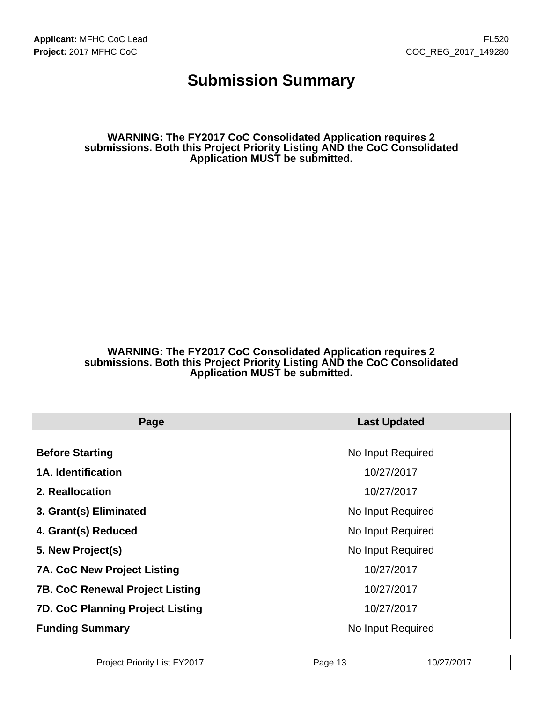### **Submission Summary**

**WARNING: The FY2017 CoC Consolidated Application requires 2 submissions. Both this Project Priority Listing AND the CoC Consolidated Application MUST be submitted.**

#### **WARNING: The FY2017 CoC Consolidated Application requires 2 submissions. Both this Project Priority Listing AND the CoC Consolidated Application MUST be submitted.**

| Page                                    | <b>Last Updated</b> |
|-----------------------------------------|---------------------|
|                                         |                     |
| <b>Before Starting</b>                  | No Input Required   |
| <b>1A. Identification</b>               | 10/27/2017          |
| 2. Reallocation                         | 10/27/2017          |
| 3. Grant(s) Eliminated                  | No Input Required   |
| 4. Grant(s) Reduced                     | No Input Required   |
| 5. New Project(s)                       | No Input Required   |
| <b>7A. CoC New Project Listing</b>      | 10/27/2017          |
| <b>7B. CoC Renewal Project Listing</b>  | 10/27/2017          |
| <b>7D. CoC Planning Project Listing</b> | 10/27/2017          |
| <b>Funding Summary</b>                  | No Input Required   |

| Project Priority List FY2017 | Page 1 <sup>-</sup><br>د ا | 10/27/2017 |
|------------------------------|----------------------------|------------|
|------------------------------|----------------------------|------------|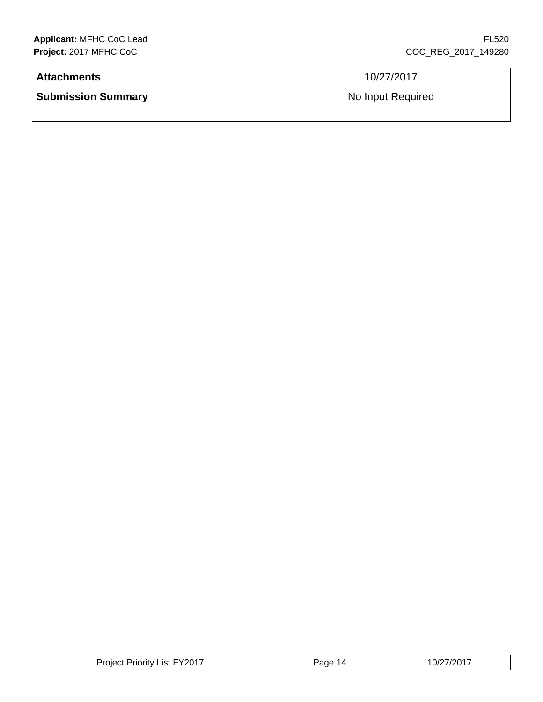#### **Attachments** 10/27/2017

**Submission Summary No Input Required No Input Required** 

| $\sim$ $-$<br>-Y201.<br>$1 - 1$<br>.ıst<br>$1.01 \times 1.01$<br>rojec.<br>'riority | 'age | 10017<br>.0/<br>. |
|-------------------------------------------------------------------------------------|------|-------------------|
|-------------------------------------------------------------------------------------|------|-------------------|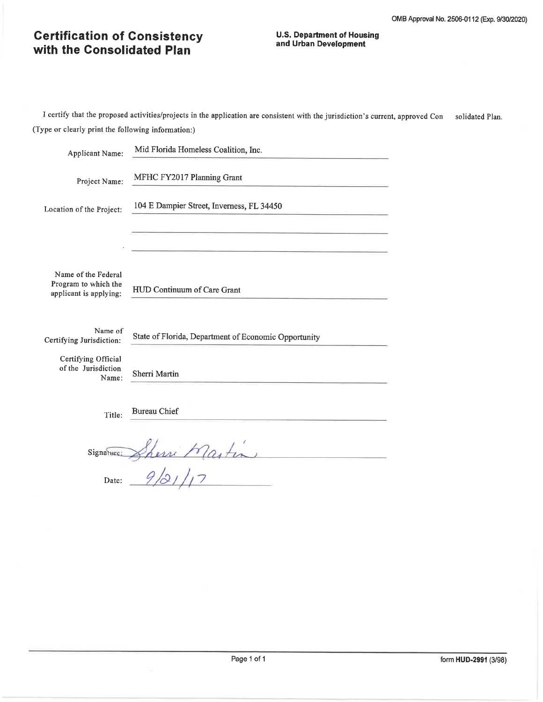#### **U.S. Department of Housing** and Urban Development

| Applicant Name:                                                                            | Mid Florida Homeless Coalition, Inc.                                  |  |
|--------------------------------------------------------------------------------------------|-----------------------------------------------------------------------|--|
| Project Name:                                                                              | MFHC FY2017 Planning Grant                                            |  |
| Location of the Project:                                                                   | 104 E Dampier Street, Inverness, FL 34450                             |  |
| Name of the Federal<br>Program to which the<br>applicant is applying:                      | HUD Continuum of Care Grant                                           |  |
| Name of<br>Certifying Jurisdiction:<br>Certifying Official<br>of the Jurisdiction<br>Name: | State of Florida, Department of Economic Opportunity<br>Sherri Martin |  |
| Title:                                                                                     | <b>Bureau Chief</b>                                                   |  |
| Signature:                                                                                 |                                                                       |  |
| Date:                                                                                      |                                                                       |  |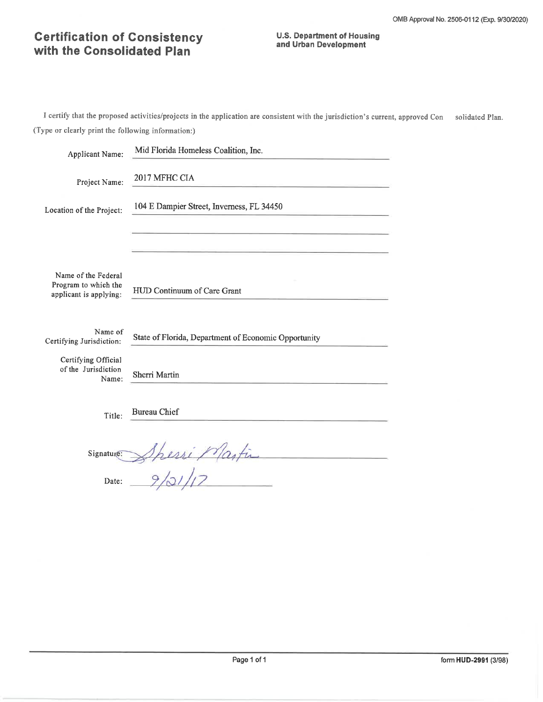#### **U.S. Department of Housing** and Urban Development

| <b>Applicant Name:</b>                                                | Mid Florida Homeless Coalition, Inc.                 |
|-----------------------------------------------------------------------|------------------------------------------------------|
| Project Name:                                                         | 2017 MFHC CIA                                        |
| Location of the Project:                                              | 104 E Dampier Street, Inverness, FL 34450            |
|                                                                       |                                                      |
| Name of the Federal<br>Program to which the<br>applicant is applying: | HUD Continuum of Care Grant                          |
| Name of<br>Certifying Jurisdiction:                                   | State of Florida, Department of Economic Opportunity |
| Certifying Official<br>of the Jurisdiction<br>Name:                   | Sherri Martin                                        |
| Title:                                                                | <b>Bureau Chief</b>                                  |
| Signature:                                                            |                                                      |
| Date:                                                                 |                                                      |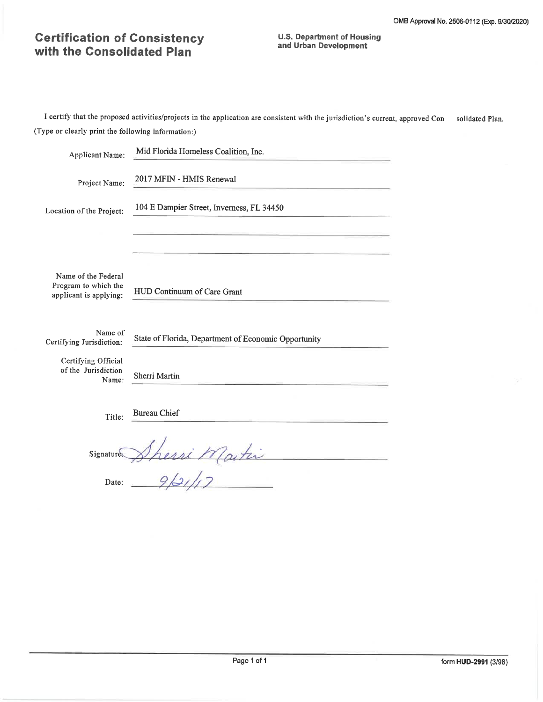**U.S. Department of Housing** and Urban Development

| Applicant Name:                                                       | Mid Florida Homeless Coalition, Inc.                 |  |  |  |  |  |  |  |
|-----------------------------------------------------------------------|------------------------------------------------------|--|--|--|--|--|--|--|
| Project Name:                                                         | 2017 MFIN - HMIS Renewal                             |  |  |  |  |  |  |  |
| Location of the Project:                                              | 104 E Dampier Street, Inverness, FL 34450            |  |  |  |  |  |  |  |
| Name of the Federal<br>Program to which the<br>applicant is applying: | HUD Continuum of Care Grant                          |  |  |  |  |  |  |  |
| Name of<br>Certifying Jurisdiction:                                   | State of Florida, Department of Economic Opportunity |  |  |  |  |  |  |  |
| Certifying Official<br>of the Jurisdiction<br>Name:                   | Sherri Martin                                        |  |  |  |  |  |  |  |
| Title:                                                                | Bureau Chief                                         |  |  |  |  |  |  |  |
| Signature.                                                            | vi Martin                                            |  |  |  |  |  |  |  |
| Date:                                                                 |                                                      |  |  |  |  |  |  |  |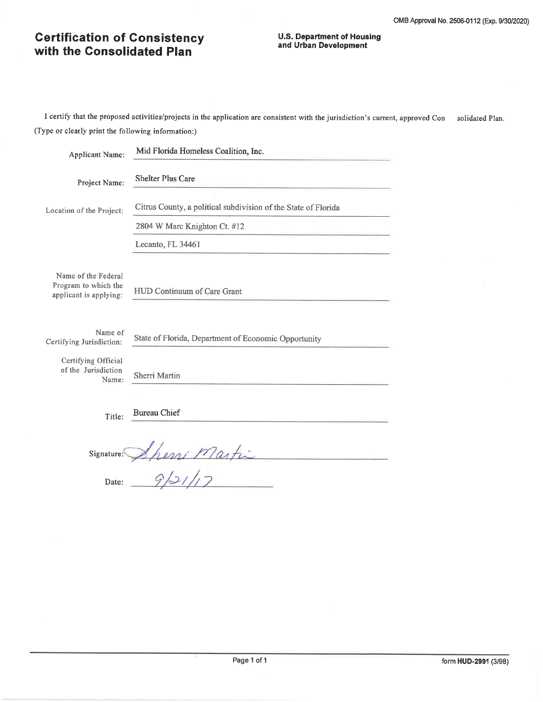#### **U.S. Department of Housing** and Urban Development

I certify that the proposed activities/projects in the application are consistent with the jurisdiction's current, approved Consolidated Plan. (Type or clearly print the following information:)

| <b>Applicant Name:</b>                              | Mid Florida Homeless Coalition, Inc.                           |  |  |  |  |  |  |
|-----------------------------------------------------|----------------------------------------------------------------|--|--|--|--|--|--|
| Project Name:                                       | <b>Shelter Plus Care</b>                                       |  |  |  |  |  |  |
| Location of the Project:                            | Citrus County, a political subdivision of the State of Florida |  |  |  |  |  |  |
|                                                     | 2804 W Marc Knighton Ct. #12                                   |  |  |  |  |  |  |
|                                                     | Lecanto, FL 34461                                              |  |  |  |  |  |  |
| Name of the Federal                                 |                                                                |  |  |  |  |  |  |
| Program to which the<br>applicant is applying:      | HUD Continuum of Care Grant                                    |  |  |  |  |  |  |
|                                                     |                                                                |  |  |  |  |  |  |
| Name of<br>Certifying Jurisdiction:                 | State of Florida, Department of Economic Opportunity           |  |  |  |  |  |  |
| Certifying Official<br>of the Jurisdiction<br>Name: | Sherri Martin                                                  |  |  |  |  |  |  |
| Title:                                              | <b>Bureau Chief</b>                                            |  |  |  |  |  |  |
| Signature:                                          | eni Martin                                                     |  |  |  |  |  |  |
| Date:                                               |                                                                |  |  |  |  |  |  |

form HUD-2991 (3/98)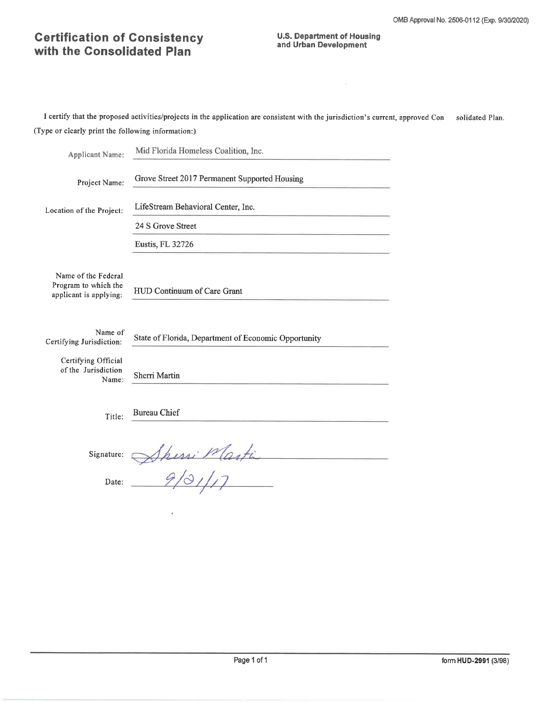I certify that the proposed activities/projects in the application are consistent with the jurisdiction's current, approved Con solidated Plan. (Type or clearly print the following information:)

| <b>Applicant Name:</b>                                                | Mid Florida Homeless Coalition, Inc.                 |  |  |  |  |  |  |
|-----------------------------------------------------------------------|------------------------------------------------------|--|--|--|--|--|--|
| Project Name:                                                         | Grove Street 2017 Permanent Supported Housing        |  |  |  |  |  |  |
| Location of the Project:                                              | LifeStream Behavioral Center, Inc.                   |  |  |  |  |  |  |
|                                                                       | 24 S Grove Street                                    |  |  |  |  |  |  |
|                                                                       | Eustis, FL 32726                                     |  |  |  |  |  |  |
| Name of the Federal<br>Program to which the<br>applicant is applying: | HUD Continuum of Care Grant                          |  |  |  |  |  |  |
| Name of<br>Certifying Jurisdiction:                                   | State of Florida, Department of Economic Opportunity |  |  |  |  |  |  |
| Certifying Official<br>of the Jurisdiction<br>Name:                   | Sherri Martin                                        |  |  |  |  |  |  |
| Title:                                                                | <b>Bureau Chief</b>                                  |  |  |  |  |  |  |
| Signature:                                                            | Shini Marti                                          |  |  |  |  |  |  |
| Date:                                                                 |                                                      |  |  |  |  |  |  |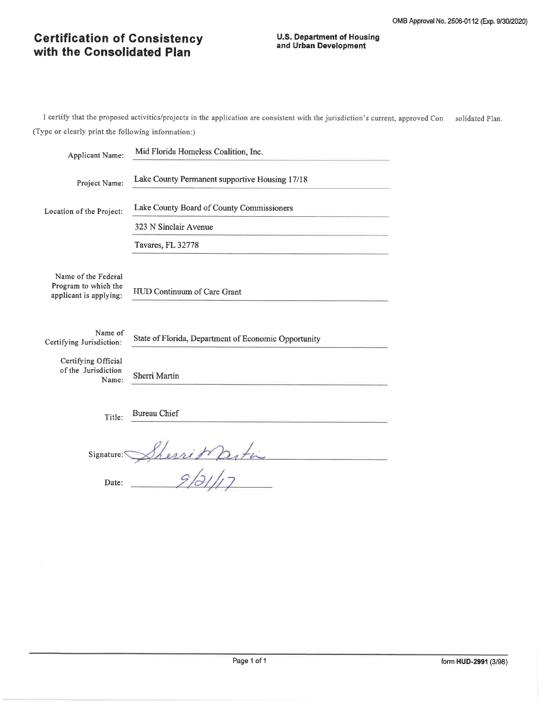#### **U.S. Department of Housing** and Urban Development

| <b>Applicant Name:</b>                                                | Mid Florida Homeless Coalition, Inc.                 |  |  |  |  |  |  |
|-----------------------------------------------------------------------|------------------------------------------------------|--|--|--|--|--|--|
| Project Name:                                                         | Lake County Permanent supportive Housing 17/18       |  |  |  |  |  |  |
| Location of the Project:                                              | Lake County Board of County Commissioners            |  |  |  |  |  |  |
|                                                                       | 323 N Sinclair Avenue                                |  |  |  |  |  |  |
|                                                                       | Tavares, FL 32778                                    |  |  |  |  |  |  |
| Name of the Federal<br>Program to which the<br>applicant is applying: | HUD Continuum of Care Grant                          |  |  |  |  |  |  |
|                                                                       |                                                      |  |  |  |  |  |  |
| Name of<br>Certifying Jurisdiction:                                   | State of Florida, Department of Economic Opportunity |  |  |  |  |  |  |
| Certifying Official<br>of the Jurisdiction<br>Name:                   | Sherri Martin                                        |  |  |  |  |  |  |
| Title:                                                                | <b>Bureau Chief</b>                                  |  |  |  |  |  |  |
| Signature:                                                            | with                                                 |  |  |  |  |  |  |
| Date:                                                                 |                                                      |  |  |  |  |  |  |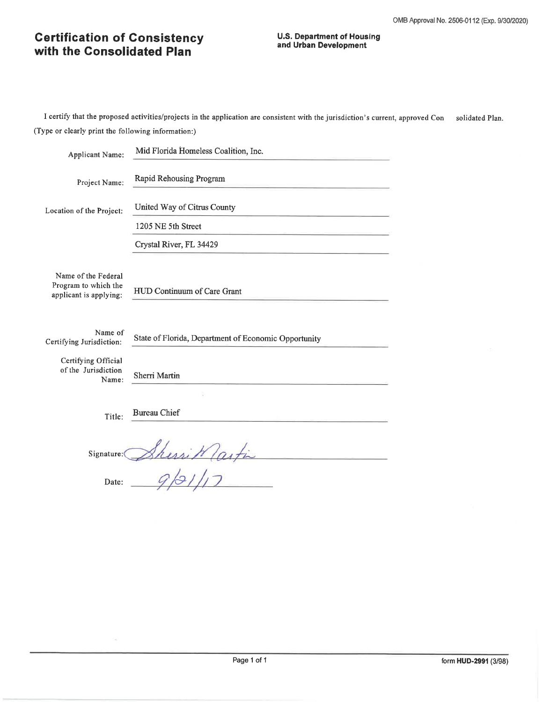#### **U.S. Department of Housing** and Urban Development

| <b>Applicant Name:</b>                                                | Mid Florida Homeless Coalition, Inc.                 |  |  |  |  |  |  |
|-----------------------------------------------------------------------|------------------------------------------------------|--|--|--|--|--|--|
| Project Name:                                                         | Rapid Rehousing Program                              |  |  |  |  |  |  |
| Location of the Project:                                              | United Way of Citrus County                          |  |  |  |  |  |  |
|                                                                       | 1205 NE 5th Street                                   |  |  |  |  |  |  |
|                                                                       | Crystal River, FL 34429                              |  |  |  |  |  |  |
| Name of the Federal<br>Program to which the<br>applicant is applying: | HUD Continuum of Care Grant                          |  |  |  |  |  |  |
|                                                                       |                                                      |  |  |  |  |  |  |
| Name of<br>Certifying Jurisdiction:                                   | State of Florida, Department of Economic Opportunity |  |  |  |  |  |  |
| Certifying Official<br>of the Jurisdiction<br>Name:                   | Sherri Martin                                        |  |  |  |  |  |  |
|                                                                       |                                                      |  |  |  |  |  |  |
| Title:                                                                | <b>Bureau Chief</b>                                  |  |  |  |  |  |  |
| Signature:                                                            | isi Wlast                                            |  |  |  |  |  |  |
| Date:                                                                 |                                                      |  |  |  |  |  |  |